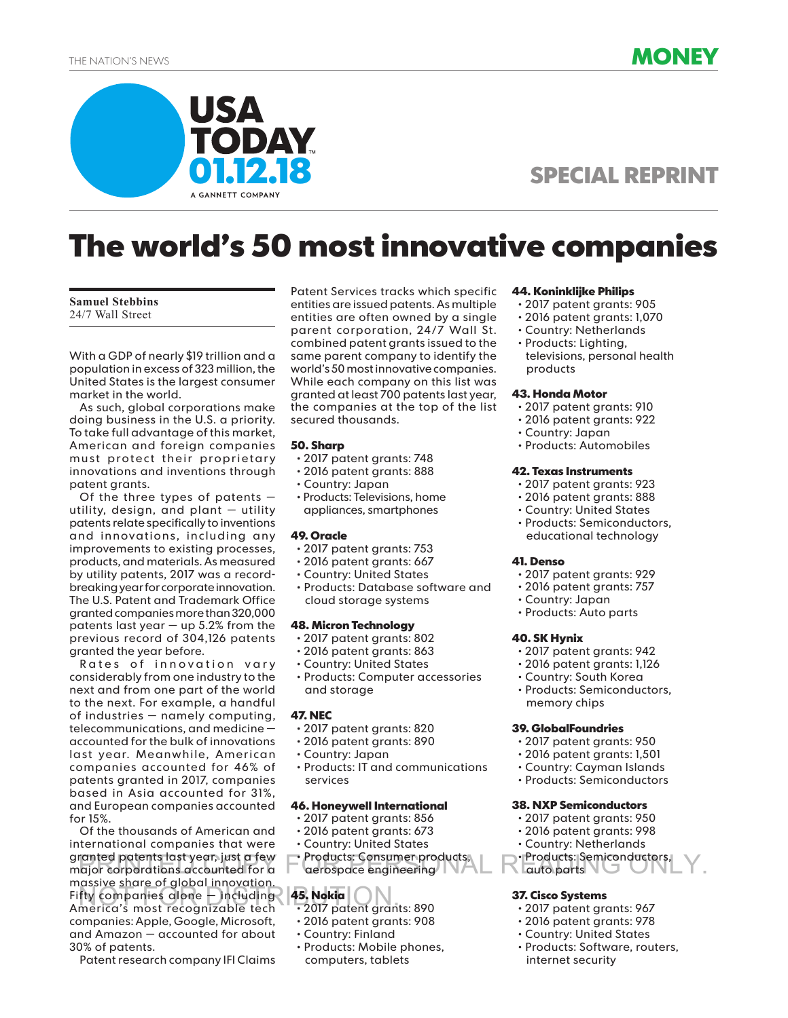



## **SPECIAL REPRINT**

# **The world's 50 most innovative companies**

#### **Samuel Stebbins** 24/7 Wall Street

With a GDP of nearly \$19 trillion and a population in excess of 323 million, the United States is the largest consumer market in the world.

As such, global corporations make doing business in the U.S. a priority. To take full advantage of this market, American and foreign companies must protect their proprietary innovations and inventions through patent grants.

Of the three types of patents  $$ utility, design, and plant — utility patents relate specifically to inventions and innovations, including any improvements to existing processes, products, and materials. As measured by utility patents, 2017 was a recordbreaking year for corporate innovation. The U.S. Patent and Trademark Office granted companies more than 320,000 patents last year  $-$  up 5.2% from the previous record of 304,126 patents granted the year before.

Rates of innovation vary considerably from one industry to the next and from one part of the world to the next. For example, a handful of industries — namely computing, telecommunications, and medicine accounted for the bulk of innovations last year. Meanwhile, American companies accounted for 46% of patents granted in 2017, companies based in Asia accounted for 31%, and European companies accounted for 15%.

Of the thousands of American and international companies that were granted patents last year, just a few granted patents last year, just a few • Products: Consumer products, • Products: Semiconductors,<br>major corporations accounted for a aerospace engineering auto parts massive share of global innovation. Fifty companies alone — including NOT FOR DISTRIBUTION.America's most recognizable tech companies: Apple, Google, Microsoft, and Amazon — accounted for about 30% of patents.

Patent research company IFI Claims

Patent Services tracks which specific entities are issued patents. As multiple entities are often owned by a single parent corporation, 24/7 Wall St. combined patent grants issued to the same parent company to identify the world's 50 most innovative companies. While each company on this list was granted at least 700 patents last year, the companies at the top of the list secured thousands.

## **50. Sharp**

- 2017 patent grants: 748
- 2016 patent grants: 888
- Country: Japan
- Products: Televisions, home appliances, smartphones

## **49. Oracle**

- 2017 patent grants: 753
- 2016 patent grants: 667
- Country: United States
- Products: Database software and cloud storage systems

## **48. Micron Technology**

- 2017 patent grants: 802
- 2016 patent grants: 863
- Country: United States
- Products: Computer accessories and storage

## **47. NEC**

- 2017 patent grants: 820
- 2016 patent grants: 890
- Country: Japan
- Products: IT and communications services

## **46. Honeywell International**

- 2017 patent grants: 856
- 2016 patent grants: 673
- Country: United States
- Products: Consumer products, aerospace engineering

## **45. Nokia**

- 2017 patent grants: 890
- 2016 patent grants: 908
- Country: Finland
- Products: Mobile phones, computers, tablets

## **44. Koninklijke Philips**

- 2017 patent grants: 905
- 2016 patent grants: 1,070
- Country: Netherlands
- Products: Lighting, televisions, personal health products

## **43. Honda Motor**

- 2017 patent grants: 910
- 2016 patent grants: 922
- Country: Japan
- Products: Automobiles

#### **42. Texas Instruments**

- 2017 patent grants: 923
- 2016 patent grants: 888
- Country: United States
- Products: Semiconductors, educational technology

## **41. Denso**

- 2017 patent grants: 929
- 2016 patent grants: 757
- Country: Japan
- Products: Auto parts

## **40. SK Hynix**

- 2017 patent grants: 942
- 2016 patent grants: 1,126
- Country: South Korea

• Products: Semiconductors, memory chips

## **39. GlobalFoundries**

- 2017 patent grants: 950
- 2016 patent grants: 1,501
- Country: Cayman Islands
- Products: Semiconductors

## **38. NXP Semiconductors**

- 2017 patent grants: 950
- 2016 patent grants: 998
- Country: Netherlands
- Products: Semiconductors, auto parts

## **37. Cisco Systems**

- 2017 patent grants: 967
- 2016 patent grants: 978
- Country: United States
- Products: Software, routers, internet security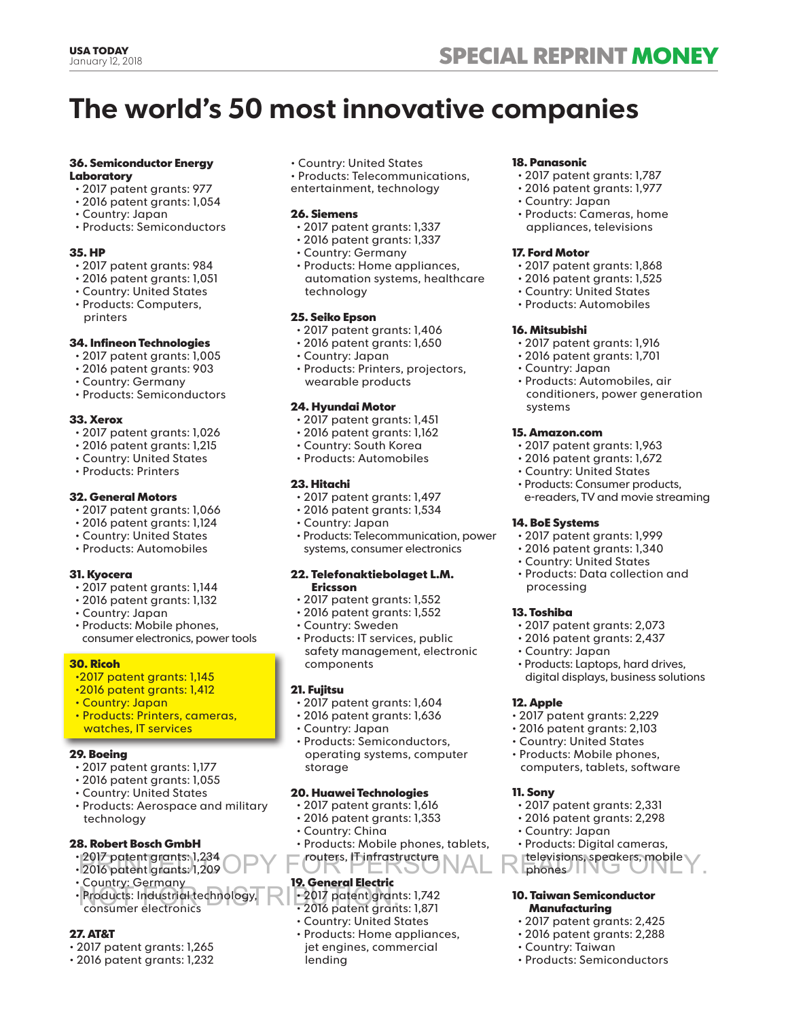## **The world's 50 most innovative companies**

## **36. Semiconductor Energy Laboratory**

- 2017 patent grants: 977
- 2016 patent grants: 1,054
- Country: Japan
- Products: Semiconductors

## **35. HP**

- 2017 patent grants: 984
- 2016 patent grants: 1,051
- Country: United States
- Products: Computers, printers

## **34. Infineon Technologies**

- 2017 patent grants: 1,005
- 2016 patent grants: 903
- Country: Germany
- Products: Semiconductors

## **33. Xerox**

- 2017 patent grants: 1,026
- 2016 patent grants: 1,215
- Country: United States
- Products: Printers

## **32. General Motors**

- 2017 patent grants: 1,066
- 2016 patent grants: 1,124
- Country: United States
- Products: Automobiles

## **31. Kyocera**

- 2017 patent grants: 1,144
- 2016 patent grants: 1,132
- Country: Japan
- Products: Mobile phones, consumer electronics, power tools

## **30. Ricoh**

- •2017 patent grants: 1,145
- •2016 patent grants: 1,412
- Country: Japan
- Products: Printers, cameras, watches, IT services

## **29. Boeing**

- 2017 patent grants: 1,177
- 2016 patent grants: 1,055
- Country: United States
- Products: Aerospace and military technology

## **28. Robert Bosch GmbH**

- 2017 patent grants: 1,234
- 
- Country: Germany
- Products: Industrial technology, NOT FOR DISTRIBUTION.consumer electronics

## **27. AT&T**

- 2017 patent grants: 1,265
- 2016 patent grants: 1,232

• Country: United States

• Products: Telecommunications,

entertainment, technology

## **26. Siemens**

- 2017 patent grants: 1,337
- 2016 patent grants: 1,337
- Country: Germany
- Products: Home appliances, automation systems, healthcare technology

## **25. Seiko Epson**

- 2017 patent grants: 1,406
- 2016 patent grants: 1,650
- Country: Japan
- Products: Printers, projectors, wearable products

## **24. Hyundai Motor**

- 2017 patent grants: 1,451
- 2016 patent grants: 1,162
- Country: South Korea
- Products: Automobiles

## **23. Hitachi**

- 2017 patent grants: 1,497
- 2016 patent grants: 1,534
- Country: Japan
- Products: Telecommunication, power systems, consumer electronics

#### **22. Telefonaktiebolaget L.M. Ericsson**

- 2017 patent grants: 1,552
- 2016 patent grants: 1,552
- Country: Sweden
- Products: IT services, public safety management, electronic components

## **21. Fujitsu**

- 2017 patent grants: 1,604
- 2016 patent grants: 1,636
- Country: Japan
- Products: Semiconductors, operating systems, computer storage

## **20. Huawei Technologies**

- 2017 patent grants: 1,616
- 2016 patent grants: 1,353
- Country: China
- 2017 patent grants: 1,234 routers, IT infrastructure televisions, speakers, mobile<br>• 2016 patent grants: 1,209 **Prince Copy Copy 1,200** phones • Products: Mobile phones, tablets, routers, IT infrastructure

## **19. General Electric**

- 2017 patent grants: 1,742
- 2016 patent grants: 1,871
- Country: United States
- Products: Home appliances, jet engines, commercial lending

## **18. Panasonic**

- 2017 patent grants: 1,787
- 2016 patent grants: 1,977
- Country: Japan
- Products: Cameras, home appliances, televisions

• 2016 patent grants: 1,525 • Country: United States • Products: Automobiles

• 2017 patent grants: 1,916 • 2016 patent grants: 1,701

• Products: Automobiles, air conditioners, power generation

• 2017 patent grants: 1,963 • 2016 patent grants: 1,672 • Country: United States • Products: Consumer products, e-readers, TV and movie streaming

• 2017 patent grants: 1,999 • 2016 patent grants: 1,340 • Country: United States • Products: Data collection and

• 2017 patent grants: 2,073 • 2016 patent grants: 2,437

• 2017 patent grants: 2,229 • 2016 patent grants: 2,103 • Country: United States • Products: Mobile phones, computers, tablets, software

• 2017 patent grants: 2,331 • 2016 patent grants: 2,298

• Products: Digital cameras, televisions, speakers, mobile

**10. Taiwan Semiconductor Manufacturing** • 2017 patent grants: 2,425 • 2016 patent grants: 2,288

• Products: Semiconductors

• Country: Japan

• Country: Taiwan

phones

• Products: Laptops, hard drives, digital displays, business solutions

#### **17. Ford Motor** • 2017 patent grants: 1,868

**16. Mitsubishi**

systems

**15. Amazon.com**

**14. BoE Systems**

processing

• Country: Japan

**13. Toshiba**

**12. Apple**

**11. Sony**

• Country: Japan